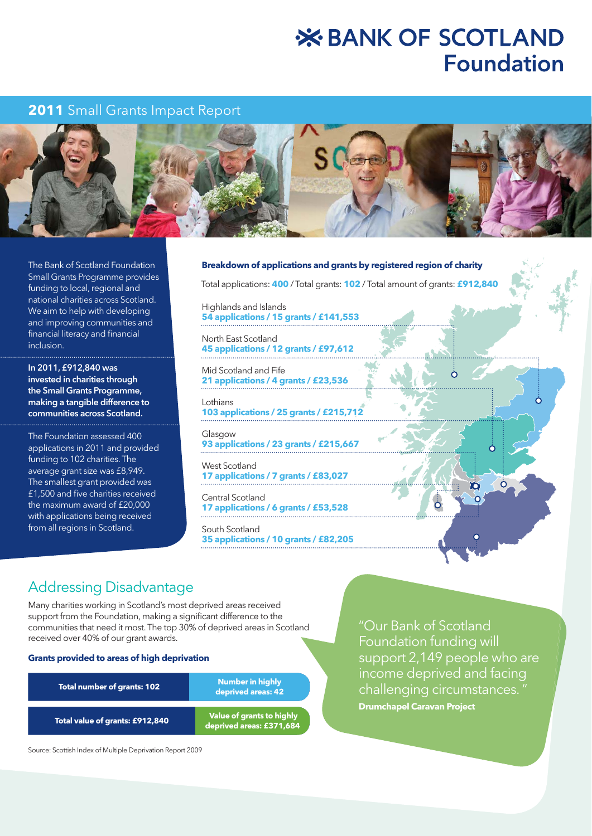# **X BANK OF SCOTLAND Foundation**

# **2011** Small Grants Impact Report



The Bank of Scotland Foundation Small Grants Programme provides funding to local, regional and national charities across Scotland. We aim to help with developing and improving communities and financial literacy and financial inclusion.

In 2011, £912,840 was invested in charities through the Small Grants Programme, making a tangible difference to communities across Scotland.

The Foundation assessed 400 applications in 2011 and provided funding to 102 charities. The average grant size was £8,949. The smallest grant provided was £1,500 and five charities received the maximum award of £20,000 with applications being received from all regions in Scotland.

#### **Breakdown of applications and grants by registered region of charity**

Total applications: **400** / Total grants: **102** / Total amount of grants: **£912,840**

Highlands and Islands **54 applications / 15 grants / £141,553** 

North East Scotland **45 applications / 12 grants / £97,612** 

Mid Scotland and Fife **21 applications / 4 grants / £23,536** 

Lothians **103 applications / 25 grants / £215,712** 

Glasgow **93 applications / 23 grants / £215,667** 

West Scotland **17 applications / 7 grants / £83,027** 

Central Scotland **17 applications / 6 grants / £53,528** 

South Scotland **35 applications / 10 grants / £82,205** 

# Addressing Disadvantage

Many charities working in Scotland's most deprived areas received support from the Foundation, making a significant difference to the communities that need it most. The top 30% of deprived areas in Scotland received over 40% of our grant awards.

#### **Grants provided to areas of high deprivation**

| <b>Total number of grants: 102</b> | <b>Number in highly</b><br>deprived areas: 42                |
|------------------------------------|--------------------------------------------------------------|
| Total value of grants: £912,840    | <b>Value of grants to highly</b><br>deprived areas: £371,684 |

Source: Scottish Index of Multiple Deprivation Report 2009

"Our Bank of Scotland Foundation funding will support 2,149 people who are income deprived and facing challenging circumstances. " **Drumchapel Caravan Project**

 $\bigcap$ 

Yō

ة